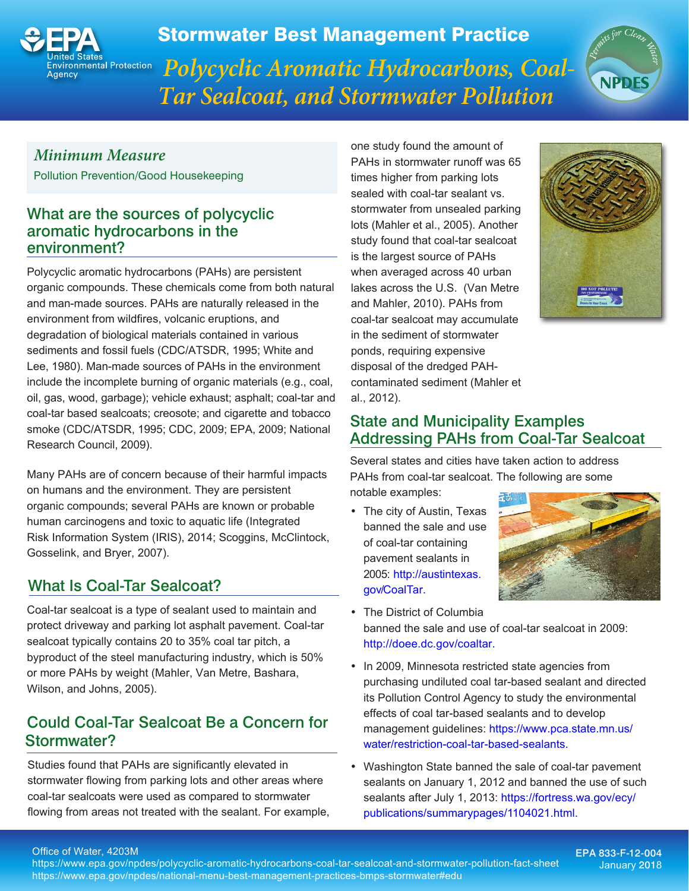

Stormwater Best Management Practice

*Polycyclic Aromatic Hydrocarbons, Coal-Tar Sealcoat, and Stormwater Pollution*



### *Minimum Measure*

Pollution Prevention/Good Housekeeping

### What are the sources of polycyclic aromatic hydrocarbons in the environment?

Polycyclic aromatic hydrocarbons (PAHs) are persistent organic compounds. These chemicals come from both natural and man-made sources. PAHs are naturally released in the environment from wildfires, volcanic eruptions, and degradation of biological materials contained in various sediments and fossil fuels (CDC/ATSDR, 1995; White and Lee, 1980). Man-made sources of PAHs in the environment include the incomplete burning of organic materials (e.g., coal, oil, gas, wood, garbage); vehicle exhaust; asphalt; coal-tar and coal-tar based sealcoats; creosote; and cigarette and tobacco smoke (CDC/ATSDR, 1995; CDC, 2009; EPA, 2009; National Research Council, 2009).

Many PAHs are of concern because of their harmful impacts on humans and the environment. They are persistent organic compounds; several PAHs are known or probable human carcinogens and toxic to aquatic life (Integrated Risk Information System (IRIS), 2014; Scoggins, McClintock, Gosselink, and Bryer, 2007).

# What Is Coal-Tar Sealcoat?

Coal-tar sealcoat is a type of sealant used to maintain and protect driveway and parking lot asphalt pavement. Coal-tar sealcoat typically contains 20 to 35% coal tar pitch, a byproduct of the steel manufacturing industry, which is 50% or more PAHs by weight (Mahler, Van Metre, Bashara, Wilson, and Johns, 2005).

# Could Coal-Tar Sealcoat Be a Concern for Stormwater?

Studies found that PAHs are significantly elevated in stormwater flowing from parking lots and other areas where coal-tar sealcoats were used as compared to stormwater flowing from areas not treated with the sealant. For example, one study found the amount of PAHs in stormwater runoff was 65 times higher from parking lots sealed with coal-tar sealant vs. stormwater from unsealed parking lots (Mahler et al., 2005). Another study found that coal-tar sealcoat is the largest source of PAHs when averaged across 40 urban lakes across the U.S. (Van Metre and Mahler, 2010). PAHs from coal-tar sealcoat may accumulate in the sediment of stormwater ponds, requiring expensive disposal of the dredged PAHcontaminated sediment (Mahler et al., 2012).



### State and Municipality Examples Addressing PAHs from Coal-Tar Sealcoat

Several states and cities have taken action to address PAHs from coal-tar sealcoat. The following are some notable examples:

• The city of Austin, Texas banned the sale and use of coal-tar containing pavement sealants in 2005: [http://austintexas.](http://austintexas.gov/CoalTar) [gov/CoalTar](http://austintexas.gov/CoalTar).



- The District of Columbia banned the sale and use of coal-tar sealcoat in 2009: <http://doee.dc.gov/coaltar>.
- In 2009, Minnesota restricted state agencies from purchasing undiluted coal tar-based sealant and directed its Pollution Control Agency to study the environmental effects of coal tar-based sealants and to develop [management guidelines: https://www.pca.state.mn.us/](https://www.pca.state.mn.us/water/restriction-coal-tar-based-sealants) water/restriction-[coal-tar-based-sealants](https://www.pca.state.mn.us/water/restriction-coal-tar-based-sealants).
- Washington State banned the sale of coal-tar pavement sealants on January 1, 2012 and banned the use of such sealants after July 1, 2013: [https://fortress.wa.gov/ecy/](https://fortress.wa.gov/ecy/publications/summarypages/1104021.html) [publications/summarypages/1104021.html](https://fortress.wa.gov/ecy/publications/summarypages/1104021.html).

#### Office of Water, 4203M

https://www.epa.gov/npdes/[polycyclic-aromatic-hydrocarbons-](https://www.epa.gov/npdes/polycyclic-aromatic-hydrocarbons-coal-tar-sealcoat-and-stormwater-pollution-fact-sheet)coal-tar-sealcoat-and-stormwater-pollution-fact-sheet https://www.epa.gov/npdes/national-menu-best-management-practices-bmps-stormwater#edu

#### EPA 833-F-12-004 January 2018